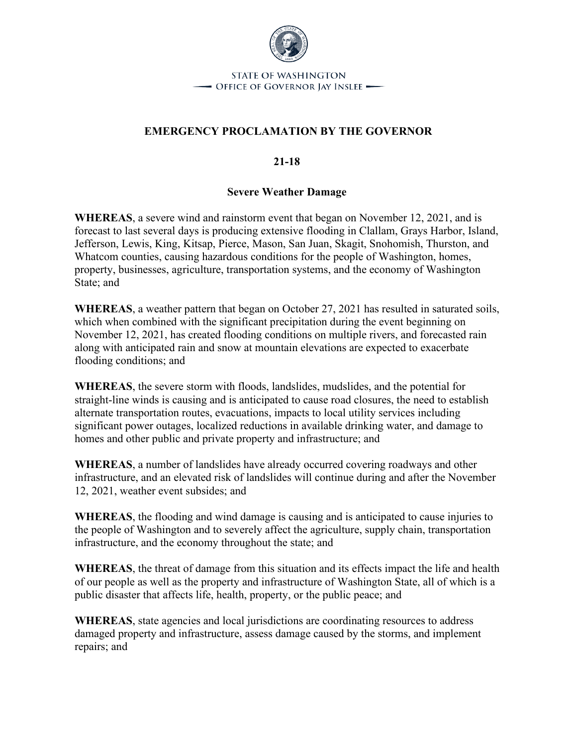

**STATE OF WASHINGTON** - Office of Governor Jay Inslee —

## **EMERGENCY PROCLAMATION BY THE GOVERNOR**

**21-18**

## **Severe Weather Damage**

**WHEREAS**, a severe wind and rainstorm event that began on November 12, 2021, and is forecast to last several days is producing extensive flooding in Clallam, Grays Harbor, Island, Jefferson, Lewis, King, Kitsap, Pierce, Mason, San Juan, Skagit, Snohomish, Thurston, and Whatcom counties, causing hazardous conditions for the people of Washington, homes, property, businesses, agriculture, transportation systems, and the economy of Washington State; and

**WHEREAS**, a weather pattern that began on October 27, 2021 has resulted in saturated soils, which when combined with the significant precipitation during the event beginning on November 12, 2021, has created flooding conditions on multiple rivers, and forecasted rain along with anticipated rain and snow at mountain elevations are expected to exacerbate flooding conditions; and

**WHEREAS**, the severe storm with floods, landslides, mudslides, and the potential for straight-line winds is causing and is anticipated to cause road closures, the need to establish alternate transportation routes, evacuations, impacts to local utility services including significant power outages, localized reductions in available drinking water, and damage to homes and other public and private property and infrastructure; and

**WHEREAS**, a number of landslides have already occurred covering roadways and other infrastructure, and an elevated risk of landslides will continue during and after the November 12, 2021, weather event subsides; and

**WHEREAS**, the flooding and wind damage is causing and is anticipated to cause injuries to the people of Washington and to severely affect the agriculture, supply chain, transportation infrastructure, and the economy throughout the state; and

**WHEREAS**, the threat of damage from this situation and its effects impact the life and health of our people as well as the property and infrastructure of Washington State, all of which is a public disaster that affects life, health, property, or the public peace; and

**WHEREAS**, state agencies and local jurisdictions are coordinating resources to address damaged property and infrastructure, assess damage caused by the storms, and implement repairs; and